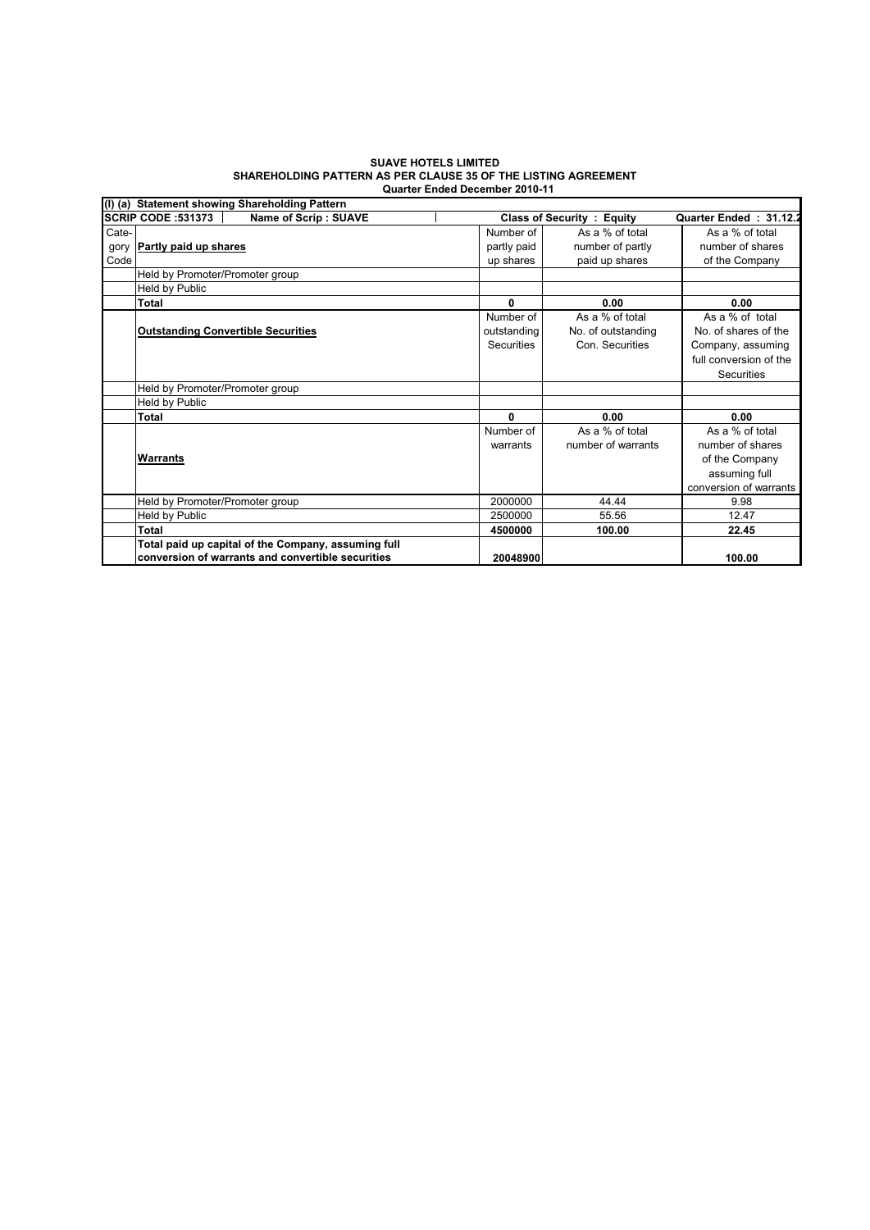## **SUAVE HOTELS LIMITED SHAREHOLDING PATTERN AS PER CLAUSE 35 OF THE LISTING AGREEMENT Quarter Ended December 2010-11**

|       | (I) (a) Statement showing Shareholding Pattern      |                   |                                   |                        |  |  |  |  |
|-------|-----------------------------------------------------|-------------------|-----------------------------------|------------------------|--|--|--|--|
|       | Name of Scrip: SUAVE<br>SCRIP CODE :531373          |                   | <b>Class of Security : Equity</b> | Quarter Ended: 31.12.2 |  |  |  |  |
| Cate- |                                                     | Number of         | As a % of total                   | As a % of total        |  |  |  |  |
| gory  | <b>Partly paid up shares</b>                        | partly paid       | number of partly                  | number of shares       |  |  |  |  |
| Code  |                                                     | up shares         | paid up shares                    | of the Company         |  |  |  |  |
|       | Held by Promoter/Promoter group                     |                   |                                   |                        |  |  |  |  |
|       | Held by Public                                      |                   |                                   |                        |  |  |  |  |
|       | Total                                               | $\bf{0}$          | 0.00                              | 0.00                   |  |  |  |  |
|       |                                                     | Number of         | As a % of total                   | As a % of total        |  |  |  |  |
|       | <b>Outstanding Convertible Securities</b>           | outstanding       | No. of outstanding                | No. of shares of the   |  |  |  |  |
|       |                                                     | <b>Securities</b> | Con. Securities                   | Company, assuming      |  |  |  |  |
|       |                                                     |                   |                                   | full conversion of the |  |  |  |  |
|       |                                                     |                   |                                   | <b>Securities</b>      |  |  |  |  |
|       | Held by Promoter/Promoter group                     |                   |                                   |                        |  |  |  |  |
|       | Held by Public                                      |                   |                                   |                        |  |  |  |  |
|       | Total                                               | $\bf{0}$          | 0.00                              | 0.00                   |  |  |  |  |
|       |                                                     | Number of         | As a % of total                   | As a % of total        |  |  |  |  |
|       |                                                     | warrants          | number of warrants                | number of shares       |  |  |  |  |
|       | Warrants                                            |                   |                                   | of the Company         |  |  |  |  |
|       |                                                     |                   |                                   | assuming full          |  |  |  |  |
|       |                                                     |                   |                                   | conversion of warrants |  |  |  |  |
|       | Held by Promoter/Promoter group                     | 2000000           | 44.44                             | 9.98                   |  |  |  |  |
|       | Held by Public                                      | 2500000           | 55.56                             | 12.47                  |  |  |  |  |
|       | Total                                               | 4500000           | 100.00                            | 22.45                  |  |  |  |  |
|       | Total paid up capital of the Company, assuming full |                   |                                   |                        |  |  |  |  |
|       | conversion of warrants and convertible securities   | 20048900          |                                   | 100.00                 |  |  |  |  |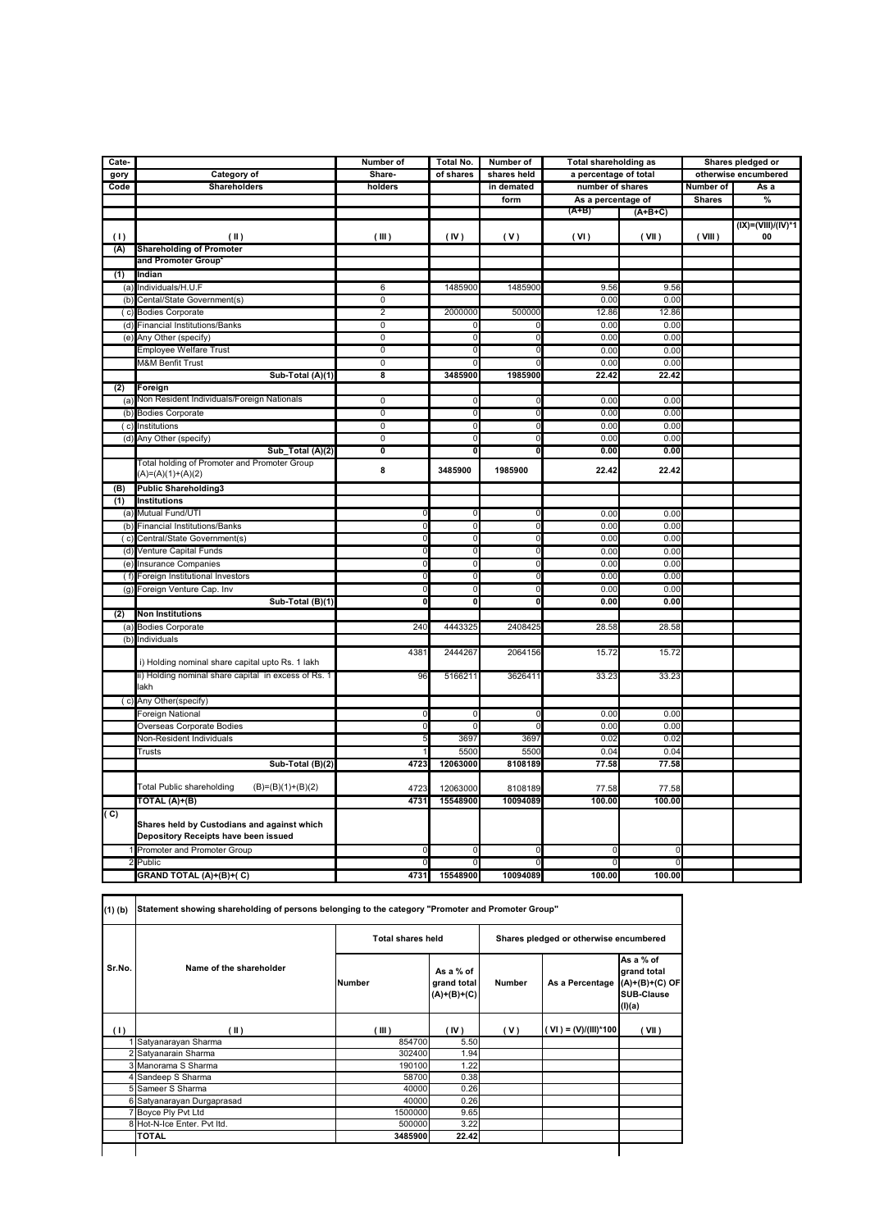| Cate- |                                                      | Number of                 | Total No.               | Number of                 | <b>Total shareholding as</b> |           | Shares pledged or    |                         |
|-------|------------------------------------------------------|---------------------------|-------------------------|---------------------------|------------------------------|-----------|----------------------|-------------------------|
| gory  | Category of                                          | Share-                    | of shares               | shares held               | a percentage of total        |           | otherwise encumbered |                         |
| Code  | <b>Shareholders</b>                                  | holders                   |                         | in demated                | number of shares             |           | Number of            | As a                    |
|       |                                                      |                           |                         | form                      | As a percentage of           |           | <b>Shares</b>        | $\frac{9}{6}$           |
|       |                                                      |                           |                         |                           | $(A+B)$                      | $(A+B+C)$ |                      |                         |
|       |                                                      |                           |                         |                           |                              |           |                      | $(IX) = (VIII)/(IV)^*1$ |
| (1)   | (II)                                                 | (III)                     | (IV)                    | (V)                       | (VI)                         | (VII)     | (VIII)               | 00                      |
| (A)   | <b>Shareholding of Promoter</b>                      |                           |                         |                           |                              |           |                      |                         |
|       | and Promoter Group                                   |                           |                         |                           |                              |           |                      |                         |
| (1)   | Indian                                               |                           |                         |                           |                              |           |                      |                         |
| (a    | Individuals/H.U.F                                    | $6\overline{6}$           | 1485900                 | 1485900                   | 9.56                         | 9.56      |                      |                         |
| (b)   | Cental/State Government(s)                           | $\overline{0}$            |                         |                           | 0.00                         | 0.00      |                      |                         |
| (c)   | <b>Bodies Corporate</b>                              | $\overline{2}$            | 2000000                 | 500000                    | 12.86                        | 12.86     |                      |                         |
| (d)   | Financial Institutions/Banks                         | $\overline{0}$            | $\Omega$                | 0                         | 0.00                         | 0.00      |                      |                         |
| (e)   | Any Other (specify)                                  | $\overline{0}$            | 0                       | $\mathbf 0$               | 0.00                         | 0.00      |                      |                         |
|       | <b>Employee Welfare Trust</b>                        | $\overline{0}$            | $\Omega$                | $\overline{0}$            | 0.00                         | 0.00      |                      |                         |
|       | <b>M&amp;M Benfit Trust</b>                          | $\overline{0}$            | $\Omega$                | $\mathbf 0$               | 0.00                         | 0.00      |                      |                         |
|       | Sub-Total (A)(1)                                     | $\overline{\mathbf{8}}$   | 3485900                 | 1985900                   | 22.42                        | 22.42     |                      |                         |
| (2)   | Foreign                                              |                           |                         |                           |                              |           |                      |                         |
| (a)   | Non Resident Individuals/Foreign Nationals           | 0                         | 0                       | 0                         | 0.00                         | 0.00      |                      |                         |
| (b)   | <b>Bodies Corporate</b>                              | $\overline{0}$            | $\mathbf 0$             | $\overline{0}$            | 0.00                         | 0.00      |                      |                         |
| (c)   | Institutions                                         | $\overline{0}$            | 0                       | 0                         | 0.00                         | 0.00      |                      |                         |
| (d)   | Any Other (specify)                                  | $\overline{0}$            | $\mathbf 0$             | $\mathbf 0$               | 0.00                         | 0.00      |                      |                         |
|       | Sub_Total (A)(2)                                     | $\overline{\mathfrak{o}}$ | $\overline{\mathbf{0}}$ | $\overline{\mathfrak{o}}$ | 0.00                         | 0.00      |                      |                         |
|       | Total holding of Promoter and Promoter Group         |                           |                         |                           |                              |           |                      |                         |
|       | (A)=(A)(1)+(A)(2)                                    | 8                         | 3485900                 | 1985900                   | 22.42                        | 22.42     |                      |                         |
| (B)   | <b>Public Shareholding3</b>                          |                           |                         |                           |                              |           |                      |                         |
| (1)   | <b>Institutions</b>                                  |                           |                         |                           |                              |           |                      |                         |
| (a    | Mutual Fund/UTI                                      | 0                         | 0                       | 0                         | 0.00                         | 0.00      |                      |                         |
| (b)   | <b>Financial Institutions/Banks</b>                  | $\overline{0}$            | $\mathbf 0$             | $\mathbf 0$               | 0.00                         | 0.00      |                      |                         |
| (c)   | Central/State Government(s)                          | $\overline{0}$            | $\overline{0}$          | $\overline{0}$            | 0.00                         | 0.00      |                      |                         |
| (d)   | Venture Capital Funds                                | $\overline{0}$            | $\overline{0}$          | $\overline{0}$            | 0.00                         | 0.00      |                      |                         |
| (e)   | Insurance Companies                                  | $\overline{0}$            | 0                       | $\mathbf 0$               | 0.00                         | 0.00      |                      |                         |
| (f)   | Foreign Institutional Investors                      | 0                         | 0                       | 0                         | 0.00                         | 0.00      |                      |                         |
| (g)   | Foreign Venture Cap. Inv                             | $\overline{0}$            | $\overline{0}$          | $\overline{0}$            | 0.00                         | 0.00      |                      |                         |
|       | Sub-Total (B)(1)                                     | $\overline{\mathbf{0}}$   | $\mathbf 0$             | 0                         | 0.00                         | 0.00      |                      |                         |
| (2)   | <b>Non Institutions</b>                              |                           |                         |                           |                              |           |                      |                         |
|       | (a) Bodies Corporate                                 | 240                       | 4443325                 | 2408425                   | 28.58                        | 28.58     |                      |                         |
|       | Individuals                                          |                           |                         |                           |                              |           |                      |                         |
| (b)   |                                                      | 4381                      | 2444267                 | 2064156                   | 15.72                        | 15.72     |                      |                         |
|       | i) Holding nominal share capital upto Rs. 1 lakh     |                           |                         |                           |                              |           |                      |                         |
|       | ii) Holding nominal share capital in excess of Rs. 1 | 96                        | 516621                  | 3626411                   | 33.23                        | 33.23     |                      |                         |
|       | lakh                                                 |                           |                         |                           |                              |           |                      |                         |
| (c)   | Any Other(specify)                                   |                           |                         |                           |                              |           |                      |                         |
|       | Foreign National                                     | $\mathbf 0$               | 0                       | 0                         | 0.00                         | 0.00      |                      |                         |
|       | Overseas Corporate Bodies                            | $\mathbf 0$               |                         | $\sqrt{ }$                | 0.00                         | 0.00      |                      |                         |
|       | Non-Resident Individuals                             | 5                         | 3697                    | 3697                      | 0.02                         | 0.02      |                      |                         |
|       | Trusts                                               |                           | 5500                    | 5500                      | 0.04                         | 0.04      |                      |                         |
|       | Sub-Total (B)(2)                                     | 4723                      | 12063000                | 8108189                   | 77.58                        | 77.58     |                      |                         |
|       |                                                      |                           |                         |                           |                              |           |                      |                         |
|       | Total Public shareholding<br>$(B)=(B)(1)+(B)(2)$     | 4723                      | 12063000                | 8108189                   | 77.58                        | 77.58     |                      |                         |
|       | TOTAL (A)+(B)                                        | 4731                      | 15548900                | 10094089                  | 100.00                       | 100.00    |                      |                         |
| (C)   |                                                      |                           |                         |                           |                              |           |                      |                         |
|       | Shares held by Custodians and against which          |                           |                         |                           |                              |           |                      |                         |
|       | Depository Receipts have been issued                 |                           |                         |                           |                              |           |                      |                         |
|       | Promoter and Promoter Group                          | $\mathbf 0$               | $\Omega$                | $\mathbf 0$               | $\Omega$                     | 0         |                      |                         |
|       | Public                                               | $\Omega$                  | $\Omega$                | $\overline{0}$            |                              | $\Omega$  |                      |                         |
|       | GRAND TOTAL (A)+(B)+(C)                              | 4731                      | 15548900                | 10094089                  | 100.00                       | 100.00    |                      |                         |
|       |                                                      |                           |                         |                           |                              |           |                      |                         |

٦

|        | Name of the shareholder     |         | <b>Total shares held</b>                  |        | Shares pledged or otherwise encumbered |                                                                             |  |  |
|--------|-----------------------------|---------|-------------------------------------------|--------|----------------------------------------|-----------------------------------------------------------------------------|--|--|
| Sr.No. |                             | lNumber | As a % of<br>grand total<br>$(A)+(B)+(C)$ | Number | As a Percentage                        | As a % of<br>grand total<br>$(A)+(B)+(C)$ OF<br><b>SUB-Clause</b><br>(I)(a) |  |  |
| (1)    | (II)                        | (III)   | (IV)                                      | (V)    | ( VI ) = (V)/(III)*100                 | (VII)                                                                       |  |  |
|        | Satyanarayan Sharma         | 854700  | 5.50                                      |        |                                        |                                                                             |  |  |
|        | 2 Satyanarain Sharma        | 302400  | 1.94                                      |        |                                        |                                                                             |  |  |
|        | 3 Manorama S Sharma         | 190100  | 1.22                                      |        |                                        |                                                                             |  |  |
|        | Sandeep S Sharma            | 58700   | 0.38                                      |        |                                        |                                                                             |  |  |
|        | 5 Sameer S Sharma           | 40000   | 0.26                                      |        |                                        |                                                                             |  |  |
|        | 6 Satyanarayan Durgaprasad  | 40000   | 0.26                                      |        |                                        |                                                                             |  |  |
|        | Boyce Ply Pvt Ltd           | 1500000 | 9.65                                      |        |                                        |                                                                             |  |  |
|        | 8 Hot-N-Ice Enter, Pvt Itd. | 500000  | 3.22                                      |        |                                        |                                                                             |  |  |
|        | <b>TOTAL</b>                | 3485900 | 22.42                                     |        |                                        |                                                                             |  |  |